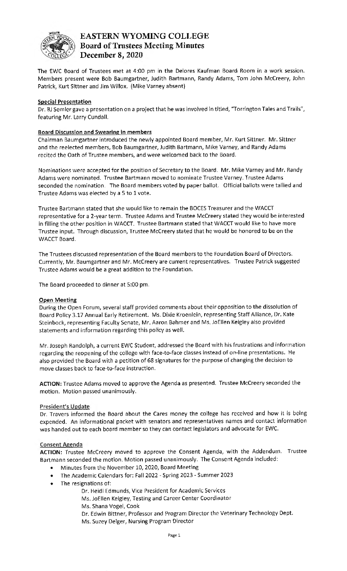

# EASTERN WYOMING COLLEGE **Board of Trustees Meeting Minutes December 8,** 2020

The EWC Board of Trustees met at 4:00 pm in the Delores Kaufman Board Room in a work session. Members present were Bob Baumgartner, Judith Bartmann, Randy Adams, Tom John Mccreery, John Patrick, Kurt Sittner and Jim Willox. (Mike Varney absent}

#### **Special Presentation**

Dr. BJ Semler gave a presentation on a project that he was involved in titled, "Torrington Tales and Trails", featuring Mr. Larry Cundall.

## **Board Discussion and Swearing in members**

Chairman Baumgartner introduced the newly appointed Board member, Mr. Kurt Sittner. Mr. Sittner and the reelected members, Bob Baumgartner, Judith Bartmann, Mike Varney, and Randy Adams recited the Oath of Trustee members, and were welcomed back to the Board.

Nominations were accepted for the position of Secretary to the Board. Mr. Mike Varney and Mr. Randy Adams were nominated. Trustee Bartmann moved to nominate Trustee Varney. Trustee Adams seconded the nomination. The Board members voted by paper ballot. Official ballots were tallied and Trustee Adams was elected by a 5 to 1 vote.

Trustee Bartmann stated that she would like to remain the BOCES Treasurer and the WACCT representative for a 2-year term. Trustee Adams and Trustee Mccreery stated they would be interested in filling the other position in WACCT. Trustee Bartmann stated that WACCT would like to have more Trustee input. Through discussion, Trustee Mccreery stated that he would be honored to be on the WACCT Board.

The Trustees discussed representation of the Board members to the Foundation Board of Directors. Currently, Mr. Baumgartner and Mr. Mccreery are current representatives. Trustee Patrick suggested Trustee Adams would be a great addition to the Foundation.

The Board proceeded to dinner at 5:00 pm.

#### **Open Meeting**

During the Open Forum, several staff provided comments about their opposition to the dissolution of Board Policy 3.17 Annual Early Retirement. Ms. Dixie Kroenlein, representing Staff Alliance, Dr. Kate Steinbock, representing Faculty Senate, Mr. Aaron Bahmer and Ms. JoEllen Keigley also provided statements and information regarding this policy as well.

Mr. Joseph Randolph, a current EWC Student, addressed the Board with his frustrations and information regarding the reopening of the college with face-to-face classes instead of on-line presentations. He also provided the Board with a petition of 68 signatures for the purpose of changing the decision to move classes back to face-to-face instruction.

**ACTION:** Trustee Adams moved to approve the Agenda as presented. Trustee Mccreery seconded the motion. Motion passed unanimously.

#### **President's Update**

Dr. Travers informed the Board about the Cares money the college has received and how it is being expended. An informational packet with senators and representatives names and contact information was handed out to each board member so they can contact legislators and advocate for EWC.

#### **Consent Agenda**

**ACTION:** Trustee Mccreery moved to approve the Consent Agenda, with the Addendum. Trustee Bartmann seconded the motion. Motion passed unanimously. The Consent Agenda included:

- Minutes from the November 10, 2020, Board Meeting
- The Academic Calendars for: Fall 2022 Spring 2023 Summer 2023
- The resignations of:
	- Dr. Heidi Edmunds, Vice President for Academic Services
	- Ms. JoEllen Keigley, Testing and Career Center Coordinator
	- Ms. Shana Vogel, Cook
	- Dr. Edwin Bittner, Professor and Program Director the Veterinary Technology Dept. Ms. Suzey Delger, Nursing Program Director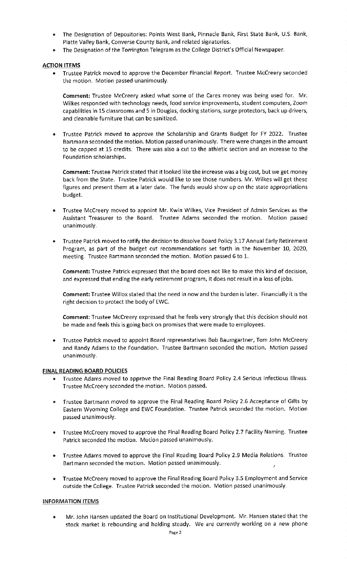- The Designation of Depositories: Points West Bank, Pinnacle Bank, First State Bank, U.S. Bank, Platte Valley Bank, Converse County Bank, and related signatories.
- The Designation of the Torrington Telegram as the College District's Official Newspaper.

### **ACTION ITEMS**

• Trustee Patrick moved to approve the December Financial Report. Trustee Mccreery seconded the motion. Motion passed unanimously.

**Comment:** Trustee Mccreery asked what some of the Cares money was being used for. Mr. Wilkes responded with technology needs, food service improvements, student computers, Zoom capabilities in 15 classrooms and 5 in Douglas, docking stations, surge protectors, back up drivers, and cleanable furniture that can be sanitized.

• Trustee Patrick moved to approve the Scholarship and Grants Budget for FY 2022. Trustee Bartmann seconded the motion. Motion passed unanimously. There were changes in the amount to be capped at 15 credits. There was also a cut to the athletic section and an increase to the Foundation scholarships.

**Comment:** Trustee Patrick stated that it looked like the increase was a big cost, but we get money back from the State. Trustee Patrick would like to see those numbers. Mr. Wilkes will get these figures and present them at a later date. The funds would show up on the state appropriations budget.

- Trustee Mccreery moved to appoint Mr. Kwin Wilkes, Vice President of Admin Services as the Assistant Treasurer to the Board. Trustee Adams seconded the motion. Motion passed unanimously.
- Trustee Patrick moved to ratify the decision to dissolve Board Policy 3.17 Annual Early Retirement Program, as part of the budget cut recommendations set forth in the November 10, 2020, meeting. Trustee Bartmann seconded the motion. Motion passed 6 to 1.

**Comment:** Trustee Patrick expressed that the board does not like to make this kind of decision, and expressed that ending the early retirement program, it does not result in a loss of jobs.

**Comment:** Trustee Willox stated that the need in now and the burden is later. Financially it is the right decision to protect the body of EWC.

**Comment:** Trustee Mccreery expressed that he feels very strongly that this decision should not be made and feels this is going back on promises that were made to employees.

• Trustee Patrick moved to appoint Board representatives Bob Baumgartner, Tom John Mccreery and Randy Adams to the Foundation. Trustee Bartmann seconded the motion. Motion passed unanimously.

#### **FINAL READING BOARD POLICIES**

- Trustee Adams moved to approve the Final Reading Board Policy 2.4 Serious Infectious Illness. Trustee Mccreery seconded the motion. Motion passed.
- Trustee Bartmann moved to approve the Final Reading Board Policy 2.6 Acceptance of Gifts by Eastern Wyoming College and EWC Foundation. Trustee Patrick seconded the motion. Motion passed unanimously.
- Trustee Mccreery moved to approve the Final Reading Board Policy 2.7 Facility Naming. Trustee Patrick seconded the motion. Motion passed unanimously.
- Trustee Adams moved to approve the Final Reading Board Policy 2.9 Media Relations. Trustee Bartmann seconded the motion. Motion passed unanimously.
- Trustee Mccreery moved to approve the Final Reading Board Policy 3.5 Employment and Service outside the College. Trustee Patrick seconded the motion. Motion passed unanimously.

#### **INFORMATION ITEMS**

• Mr. John Hansen updated the Board on Institutional Development. Mr. Hansen stated that the stock market is rebounding and holding steady. We are currently working on a new phone